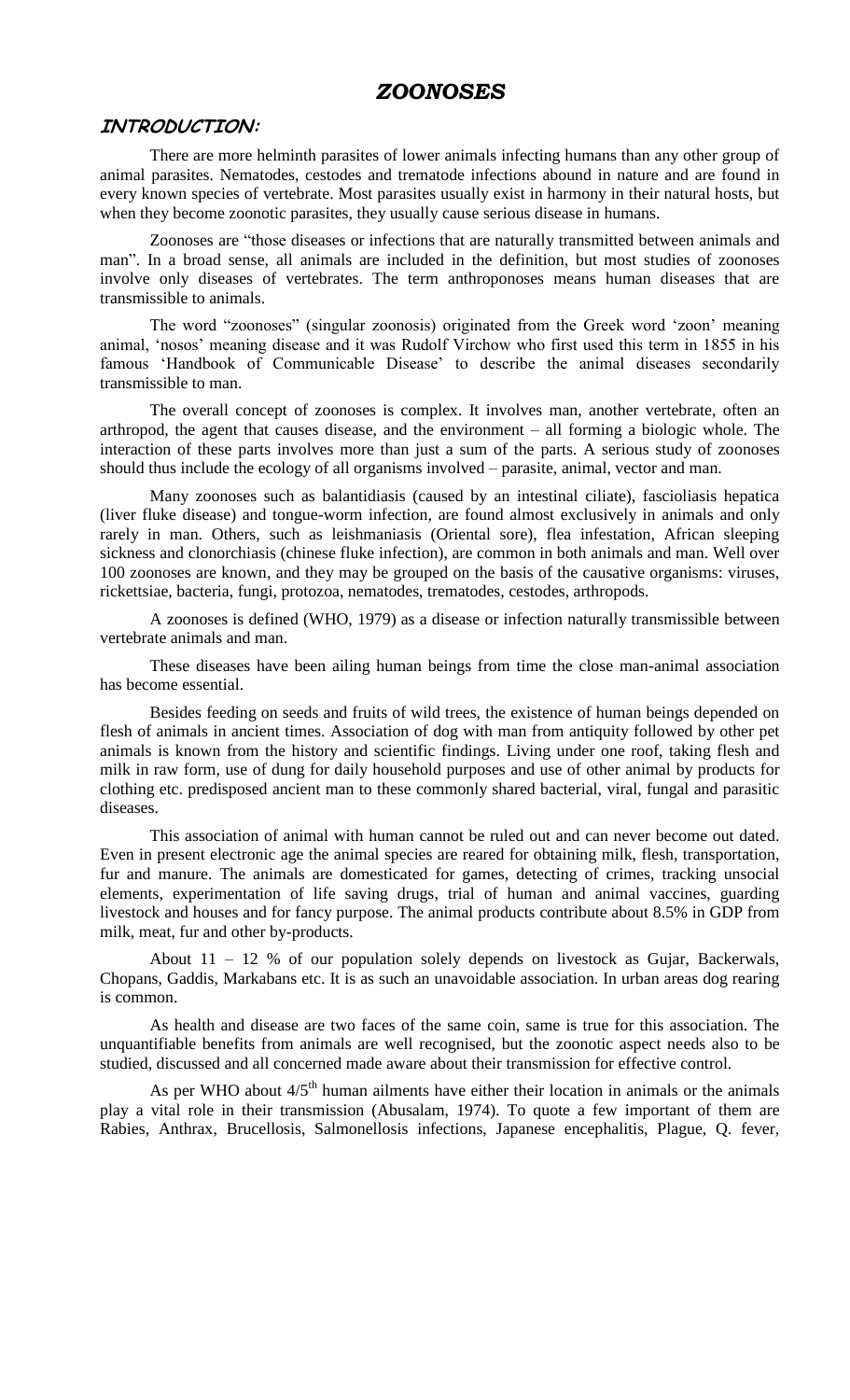## *ZOONOSES*

### **INTRODUCTION:**

There are more helminth parasites of lower animals infecting humans than any other group of animal parasites. Nematodes, cestodes and trematode infections abound in nature and are found in every known species of vertebrate. Most parasites usually exist in harmony in their natural hosts, but when they become zoonotic parasites, they usually cause serious disease in humans.

Zoonoses are "those diseases or infections that are naturally transmitted between animals and man". In a broad sense, all animals are included in the definition, but most studies of zoonoses involve only diseases of vertebrates. The term anthroponoses means human diseases that are transmissible to animals.

The word "zoonoses" (singular zoonosis) originated from the Greek word "zoon" meaning animal, "nosos" meaning disease and it was Rudolf Virchow who first used this term in 1855 in his famous 'Handbook of Communicable Disease' to describe the animal diseases secondarily transmissible to man.

The overall concept of zoonoses is complex. It involves man, another vertebrate, often an arthropod, the agent that causes disease, and the environment – all forming a biologic whole. The interaction of these parts involves more than just a sum of the parts. A serious study of zoonoses should thus include the ecology of all organisms involved – parasite, animal, vector and man.

Many zoonoses such as balantidiasis (caused by an intestinal ciliate), fascioliasis hepatica (liver fluke disease) and tongue-worm infection, are found almost exclusively in animals and only rarely in man. Others, such as leishmaniasis (Oriental sore), flea infestation, African sleeping sickness and clonorchiasis (chinese fluke infection), are common in both animals and man. Well over 100 zoonoses are known, and they may be grouped on the basis of the causative organisms: viruses, rickettsiae, bacteria, fungi, protozoa, nematodes, trematodes, cestodes, arthropods.

A zoonoses is defined (WHO, 1979) as a disease or infection naturally transmissible between vertebrate animals and man.

These diseases have been ailing human beings from time the close man-animal association has become essential.

Besides feeding on seeds and fruits of wild trees, the existence of human beings depended on flesh of animals in ancient times. Association of dog with man from antiquity followed by other pet animals is known from the history and scientific findings. Living under one roof, taking flesh and milk in raw form, use of dung for daily household purposes and use of other animal by products for clothing etc. predisposed ancient man to these commonly shared bacterial, viral, fungal and parasitic diseases.

This association of animal with human cannot be ruled out and can never become out dated. Even in present electronic age the animal species are reared for obtaining milk, flesh, transportation, fur and manure. The animals are domesticated for games, detecting of crimes, tracking unsocial elements, experimentation of life saving drugs, trial of human and animal vaccines, guarding livestock and houses and for fancy purpose. The animal products contribute about 8.5% in GDP from milk, meat, fur and other by-products.

About 11 – 12 % of our population solely depends on livestock as Gujar, Backerwals, Chopans, Gaddis, Markabans etc. It is as such an unavoidable association. In urban areas dog rearing is common.

As health and disease are two faces of the same coin, same is true for this association. The unquantifiable benefits from animals are well recognised, but the zoonotic aspect needs also to be studied, discussed and all concerned made aware about their transmission for effective control.

As per WHO about  $4/5<sup>th</sup>$  human ailments have either their location in animals or the animals play a vital role in their transmission (Abusalam, 1974). To quote a few important of them are Rabies, Anthrax, Brucellosis, Salmonellosis infections, Japanese encephalitis, Plague, Q. fever,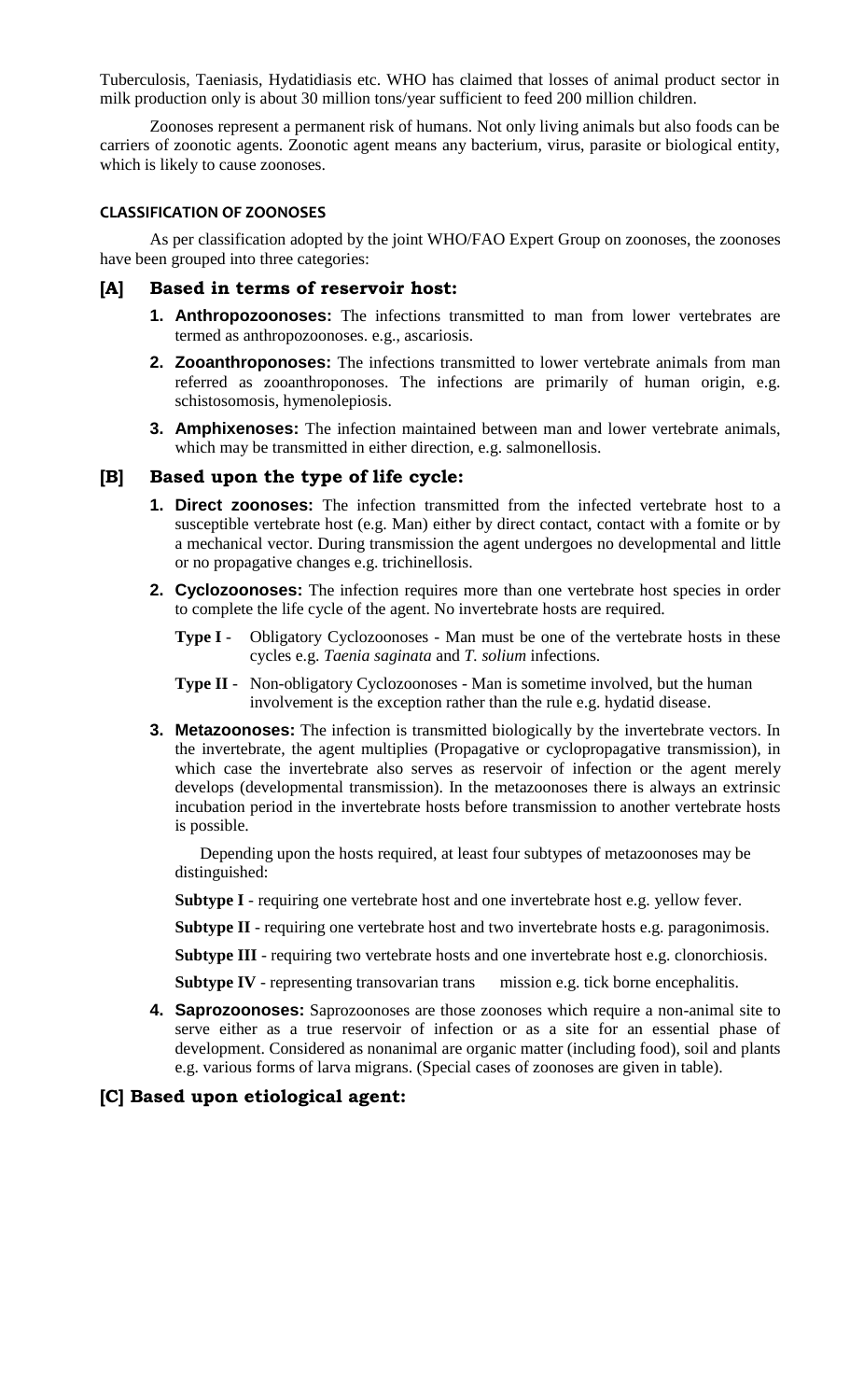Tuberculosis, Taeniasis, Hydatidiasis etc. WHO has claimed that losses of animal product sector in milk production only is about 30 million tons/year sufficient to feed 200 million children.

Zoonoses represent a permanent risk of humans. Not only living animals but also foods can be carriers of zoonotic agents. Zoonotic agent means any bacterium, virus, parasite or biological entity, which is likely to cause zoonoses.

#### **CLASSIFICATION OF ZOONOSES**

As per classification adopted by the joint WHO/FAO Expert Group on zoonoses, the zoonoses have been grouped into three categories:

- **[A] Based in terms of reservoir host:**
	- **1. Anthropozoonoses:** The infections transmitted to man from lower vertebrates are termed as anthropozoonoses. e.g., ascariosis.
	- **2. Zooanthroponoses:** The infections transmitted to lower vertebrate animals from man referred as zooanthroponoses. The infections are primarily of human origin, e.g. schistosomosis, hymenolepiosis.
	- **3. Amphixenoses:** The infection maintained between man and lower vertebrate animals, which may be transmitted in either direction, e.g. salmonellosis.

#### **[B] Based upon the type of life cycle:**

- **1. Direct zoonoses:** The infection transmitted from the infected vertebrate host to a susceptible vertebrate host (e.g. Man) either by direct contact, contact with a fomite or by a mechanical vector. During transmission the agent undergoes no developmental and little or no propagative changes e.g. trichinellosis.
- **2. Cyclozoonoses:** The infection requires more than one vertebrate host species in order to complete the life cycle of the agent. No invertebrate hosts are required.
	- **Type I** Obligatory Cyclozoonoses Man must be one of the vertebrate hosts in these cycles e.g. *Taenia saginata* and *T. solium* infections.
	- **Type II** Non-obligatory Cyclozoonoses Man is sometime involved, but the human involvement is the exception rather than the rule e.g. hydatid disease.
- **3. Metazoonoses:** The infection is transmitted biologically by the invertebrate vectors. In the invertebrate, the agent multiplies (Propagative or cyclopropagative transmission), in which case the invertebrate also serves as reservoir of infection or the agent merely develops (developmental transmission). In the metazoonoses there is always an extrinsic incubation period in the invertebrate hosts before transmission to another vertebrate hosts is possible.

Depending upon the hosts required, at least four subtypes of metazoonoses may be distinguished:

**Subtype I** - requiring one vertebrate host and one invertebrate host e.g. yellow fever.

**Subtype II** - requiring one vertebrate host and two invertebrate hosts e.g. paragonimosis.

**Subtype III** - requiring two vertebrate hosts and one invertebrate host e.g. clonorchiosis.

**Subtype IV** - representing transovarian trans mission e.g. tick borne encephalitis.

**4. Saprozoonoses:** Saprozoonoses are those zoonoses which require a non-animal site to serve either as a true reservoir of infection or as a site for an essential phase of development. Considered as nonanimal are organic matter (including food), soil and plants e.g. various forms of larva migrans. (Special cases of zoonoses are given in table).

### **[C] Based upon etiological agent:**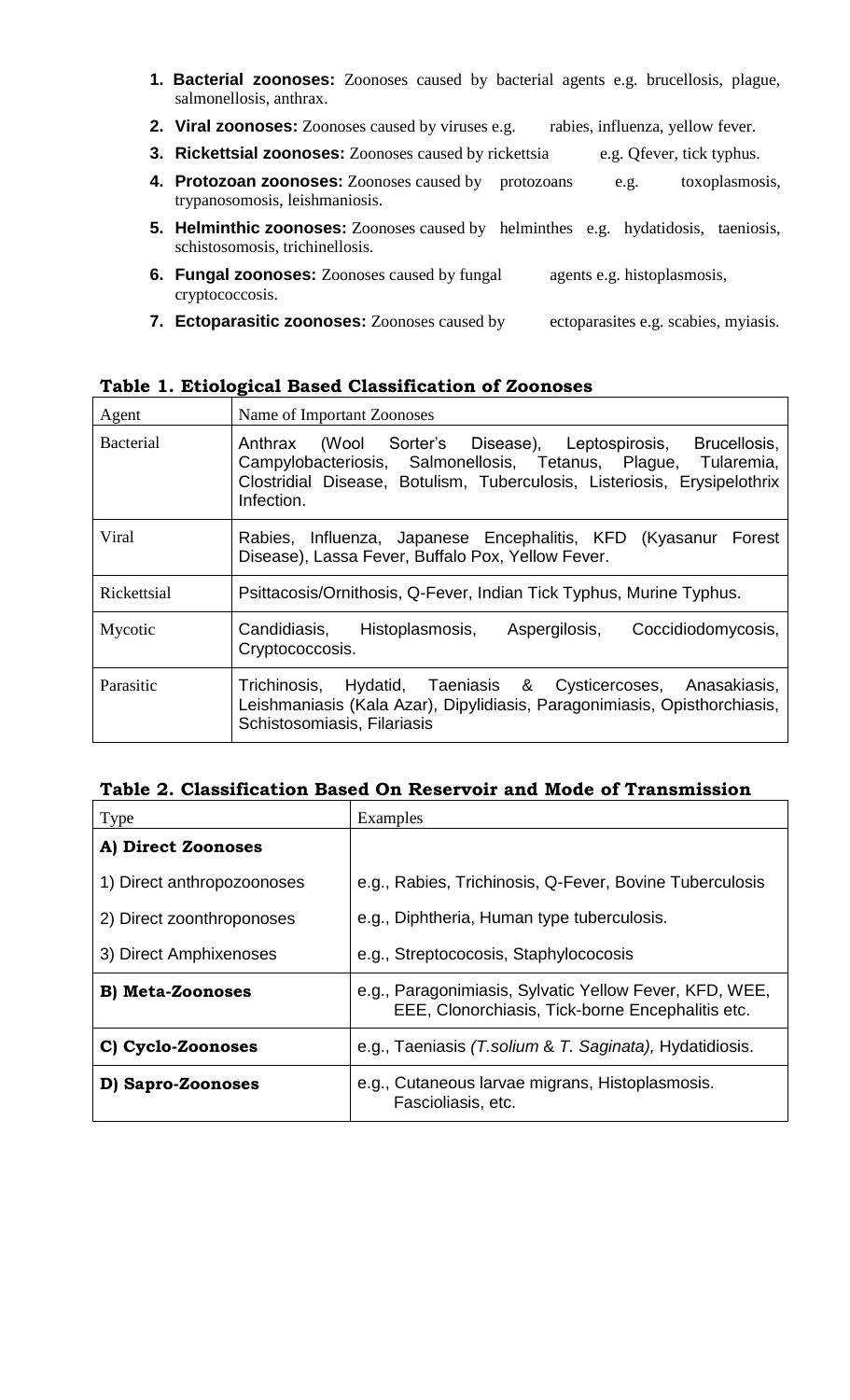- **1. Bacterial zoonoses:** Zoonoses caused by bacterial agents e.g. brucellosis, plague, salmonellosis, anthrax.
- **2. Viral zoonoses:** Zoonoses caused by viruses e.g. rabies, influenza, yellow fever.
- **3. Rickettsial zoonoses:** Zoonoses caused by rickettsia e.g. Qfever, tick typhus.
- **4. Protozoan zoonoses:** Zoonoses caused by protozoans e.g. toxoplasmosis, trypanosomosis, leishmaniosis.
- **5. Helminthic zoonoses:** Zoonoses caused by helminthes e.g. hydatidosis, taeniosis, schistosomosis, trichinellosis.
- **6. Fungal zoonoses:** Zoonoses caused by fungal agents e.g. histoplasmosis, cryptococcosis.
- **7. Ectoparasitic zoonoses:** Zoonoses caused by ectoparasites e.g. scabies, myiasis.

# **Table 1. Etiological Based Classification of Zoonoses**

| Agent            | Name of Important Zoonoses                                                                                                                                                                                                  |  |  |
|------------------|-----------------------------------------------------------------------------------------------------------------------------------------------------------------------------------------------------------------------------|--|--|
| <b>Bacterial</b> | (Wool Sorter's Disease), Leptospirosis, Brucellosis,<br>Anthrax<br>Campylobacteriosis, Salmonellosis, Tetanus, Plague, Tularemia,<br>Clostridial Disease, Botulism, Tuberculosis, Listeriosis, Erysipelothrix<br>Infection. |  |  |
| Viral            | Rabies, Influenza, Japanese Encephalitis, KFD (Kyasanur Forest<br>Disease), Lassa Fever, Buffalo Pox, Yellow Fever.                                                                                                         |  |  |
| Rickettsial      | Psittacosis/Ornithosis, Q-Fever, Indian Tick Typhus, Murine Typhus.                                                                                                                                                         |  |  |
| Mycotic          | Candidiasis, Histoplasmosis,<br>Coccidiodomycosis,<br>Aspergilosis,<br>Cryptococcosis.                                                                                                                                      |  |  |
| Parasitic        | Trichinosis, Hydatid, Taeniasis & Cysticercoses, Anasakiasis,<br>Leishmaniasis (Kala Azar), Dipylidiasis, Paragonimiasis, Opisthorchiasis,<br>Schistosomiasis, Filariasis                                                   |  |  |

## **Table 2. Classification Based On Reservoir and Mode of Transmission**

| Type                       | Examples                                                                                                   |  |
|----------------------------|------------------------------------------------------------------------------------------------------------|--|
| A) Direct Zoonoses         |                                                                                                            |  |
| 1) Direct anthropozoonoses | e.g., Rabies, Trichinosis, Q-Fever, Bovine Tuberculosis                                                    |  |
| 2) Direct zoonthroponoses  | e.g., Diphtheria, Human type tuberculosis.                                                                 |  |
| 3) Direct Amphixenoses     | e.g., Streptococosis, Staphylococosis                                                                      |  |
| <b>B</b> ) Meta-Zoonoses   | e.g., Paragonimiasis, Sylvatic Yellow Fever, KFD, WEE,<br>EEE, Clonorchiasis, Tick-borne Encephalitis etc. |  |
| C) Cyclo-Zoonoses          | e.g., Taeniasis (T.solium & T. Saginata), Hydatidiosis.                                                    |  |
| D) Sapro-Zoonoses          | e.g., Cutaneous larvae migrans, Histoplasmosis.<br>Fascioliasis, etc.                                      |  |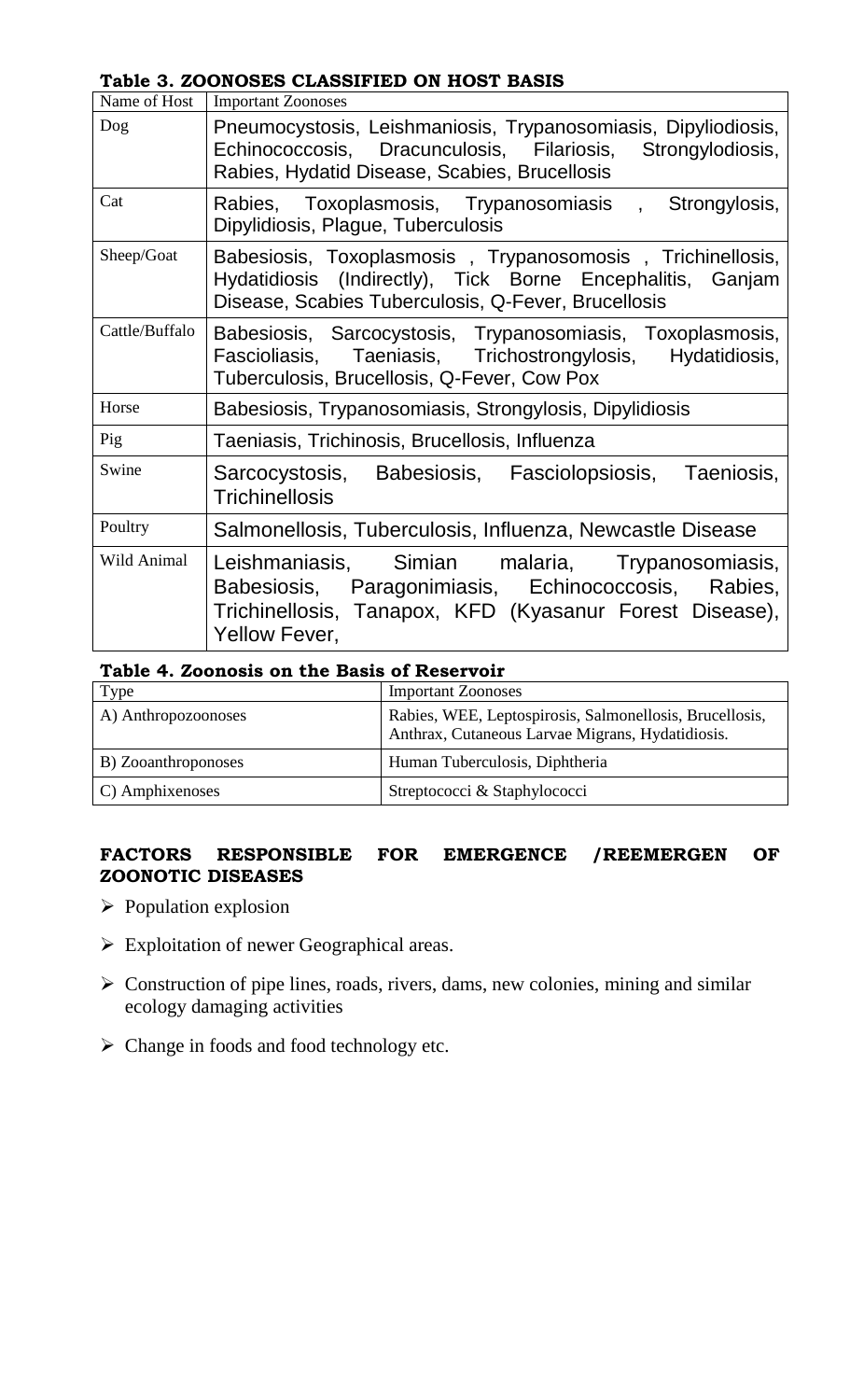**Table 3. ZOONOSES CLASSIFIED ON HOST BASIS**

| Name of Host   | <b>Important Zoonoses</b>                                                                                                                                                          |
|----------------|------------------------------------------------------------------------------------------------------------------------------------------------------------------------------------|
| Dog            | Pneumocystosis, Leishmaniosis, Trypanosomiasis, Dipyliodiosis,<br>Echinococcosis, Dracunculosis, Filariosis, Strongylodiosis,<br>Rabies, Hydatid Disease, Scabies, Brucellosis     |
| Cat            | Rabies, Toxoplasmosis, Trypanosomiasis , Strongylosis,<br>Dipylidiosis, Plague, Tuberculosis                                                                                       |
| Sheep/Goat     | Babesiosis, Toxoplasmosis, Trypanosomosis, Trichinellosis,<br>Hydatidiosis (Indirectly), Tick Borne Encephalitis, Ganjam<br>Disease, Scabies Tuberculosis, Q-Fever, Brucellosis    |
| Cattle/Buffalo | Babesiosis, Sarcocystosis, Trypanosomiasis, Toxoplasmosis,<br>Fascioliasis, Taeniasis, Trichostrongylosis, Hydatidiosis,<br>Tuberculosis, Brucellosis, Q-Fever, Cow Pox            |
| Horse          | Babesiosis, Trypanosomiasis, Strongylosis, Dipylidiosis                                                                                                                            |
| Pig            | Taeniasis, Trichinosis, Brucellosis, Influenza                                                                                                                                     |
| Swine          | Sarcocystosis, Babesiosis, Fasciolopsiosis, Taeniosis,<br><b>Trichinellosis</b>                                                                                                    |
| Poultry        | Salmonellosis, Tuberculosis, Influenza, Newcastle Disease                                                                                                                          |
| Wild Animal    | Leishmaniasis, Simian malaria, Trypanosomiasis,<br>Babesiosis, Paragonimiasis, Echinococcosis, Rabies,<br>Trichinellosis, Tanapox, KFD (Kyasanur Forest Disease),<br>Yellow Fever, |

| Table 4. Zoonosis on the Basis of Reservoir |
|---------------------------------------------|
|---------------------------------------------|

| Type                | <b>Important Zoonoses</b>                                                                                   |  |  |  |
|---------------------|-------------------------------------------------------------------------------------------------------------|--|--|--|
| A) Anthropozoonoses | Rabies, WEE, Leptospirosis, Salmonellosis, Brucellosis,<br>Anthrax, Cutaneous Larvae Migrans, Hydatidiosis. |  |  |  |
| B) Zooanthroponoses | Human Tuberculosis, Diphtheria                                                                              |  |  |  |
| C) Amphixenoses     | Streptococci & Staphylococci                                                                                |  |  |  |

# **FACTORS RESPONSIBLE FOR EMERGENCE /REEMERGEN OF ZOONOTIC DISEASES**

- $\triangleright$  Population explosion
- Exploitation of newer Geographical areas.
- $\triangleright$  Construction of pipe lines, roads, rivers, dams, new colonies, mining and similar ecology damaging activities
- Change in foods and food technology etc.